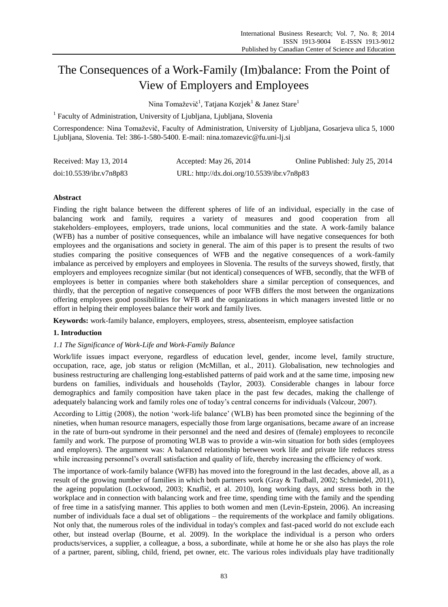# The Consequences of a Work-Family (Im)balance: From the Point of View of Employers and Employees

Nina Tomaževič<sup>1</sup>, Tatjana Kozjek<sup>1</sup> & Janez Stare<sup>1</sup>

<sup>1</sup> Faculty of Administration, University of Ljubljana, Ljubljana, Slovenia

Correspondence: Nina Tomaževič, Faculty of Administration, University of Ljubljana, Gosarjeva ulica 5, 1000 Ljubljana, Slovenia. Tel: 386-1-580-5400. E-mail: nina.tomazevic@fu.uni-lj.si

| Received: May 13, 2014  | Accepted: May 26, 2014                     | Online Published: July 25, 2014 |
|-------------------------|--------------------------------------------|---------------------------------|
| doi:10.5539/ibr.v7n8p83 | URL: http://dx.doi.org/10.5539/ibr.v7n8p83 |                                 |

# **Abstract**

Finding the right balance between the different spheres of life of an individual, especially in the case of balancing work and family, requires a variety of measures and good cooperation from all stakeholders–employees, employers, trade unions, local communities and the state. A work-family balance (WFB) has a number of positive consequences, while an imbalance will have negative consequences for both employees and the organisations and society in general. The aim of this paper is to present the results of two studies comparing the positive consequences of WFB and the negative consequences of a work-family imbalance as perceived by employers and employees in Slovenia. The results of the surveys showed, firstly, that employers and employees recognize similar (but not identical) consequences of WFB, secondly, that the WFB of employees is better in companies where both stakeholders share a similar perception of consequences, and thirdly, that the perception of negative consequences of poor WFB differs the most between the organizations offering employees good possibilities for WFB and the organizations in which managers invested little or no effort in helping their employees balance their work and family lives.

**Keywords:** work-family balance, employers, employees, stress, absenteeism, employee satisfaction

# **1. Introduction**

## *1.1 The Significance of Work-Life and Work-Family Balance*

Work/life issues impact everyone, regardless of education level, gender, income level, family structure, occupation, race, age, job status or religion (McMillan, et al., 2011). Globalisation, new technologies and business restructuring are challenging long-established patterns of paid work and at the same time, imposing new burdens on families, individuals and households (Taylor, 2003). Considerable changes in labour force demographics and family composition have taken place in the past few decades, making the challenge of adequately balancing work and family roles one of today's central concerns for individuals (Valcour, 2007).

According to Littig (2008), the notion 'work-life balance' (WLB) has been promoted since the beginning of the nineties, when human resource managers, especially those from large organisations, became aware of an increase in the rate of burn-out syndrome in their personnel and the need and desires of (female) employees to reconcile family and work. The purpose of promoting WLB was to provide a win-win situation for both sides (employees and employers). The argument was: A balanced relationship between work life and private life reduces stress while increasing personnel's overall satisfaction and quality of life, thereby increasing the efficiency of work.

The importance of work-family balance (WFB) has moved into the foreground in the last decades, above all, as a result of the growing number of families in which both partners work (Gray & Tudball, 2002; Schmiedel, 2011), the ageing population (Lockwood, 2003; Knaflič, et al. 2010), long working days, and stress both in the workplace and in connection with balancing work and free time, spending time with the family and the spending of free time in a satisfying manner. This applies to both women and men (Levin-Epstein, 2006). An increasing number of individuals face a dual set of obligations – the requirements of the workplace and family obligations. Not only that, the numerous roles of the individual in today's complex and fast-paced world do not exclude each other, but instead overlap (Bourne, et al. 2009). In the workplace the individual is a person who orders products/services, a supplier, a colleague, a boss, a subordinate, while at home he or she also has plays the role of a partner, parent, sibling, child, friend, pet owner, etc. The various roles individuals play have traditionally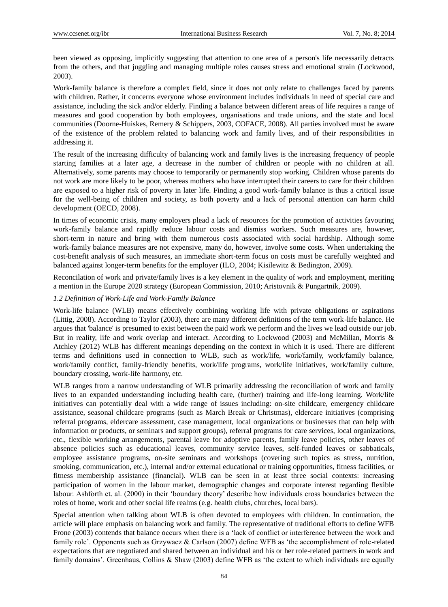been viewed as opposing, implicitly suggesting that attention to one area of a person's life necessarily detracts from the others, and that juggling and managing multiple roles causes stress and emotional strain (Lockwood, 2003).

Work-family balance is therefore a complex field, since it does not only relate to challenges faced by parents with children. Rather, it concerns everyone whose environment includes individuals in need of special care and assistance, including the sick and/or elderly. Finding a balance between different areas of life requires a range of measures and good cooperation by both employees, organisations and trade unions, and the state and local communities (Doorne-Huiskes, Remery & Schippers, 2003, COFACE, 2008). All parties involved must be aware of the existence of the problem related to balancing work and family lives, and of their responsibilities in addressing it.

The result of the increasing difficulty of balancing work and family lives is the increasing frequency of people starting families at a later age, a decrease in the number of children or people with no children at all. Alternatively, some parents may choose to temporarily or permanently stop working. Children whose parents do not work are more likely to be poor, whereas mothers who have interrupted their careers to care for their children are exposed to a higher risk of poverty in later life. Finding a good work-family balance is thus a critical issue for the well-being of children and society, as both poverty and a lack of personal attention can harm child development (OECD, 2008).

In times of economic crisis, many employers plead a lack of resources for the promotion of activities favouring work-family balance and rapidly reduce labour costs and dismiss workers. Such measures are, however, short-term in nature and bring with them numerous costs associated with social hardship. Although some work-family balance measures are not expensive, many do, however, involve some costs. When undertaking the cost-benefit analysis of such measures, an immediate short-term focus on costs must be carefully weighted and balanced against longer-term benefits for the employer (ILO, 2004; Kisilewitz & Bedington, 2009).

Reconcilation of work and private/family lives is a key element in the quality of work and employment, meriting a mention in the Europe 2020 strategy (European Commission, 2010; Aristovnik & Pungartnik, 2009).

# *1.2 Definition of Work-Life and Work-Family Balance*

Work-life balance (WLB) means effectively combining working life with private obligations or aspirations (Littig, 2008). According to Taylor (2003), there are many different definitions of the term work-life balance. He argues that 'balance' is presumed to exist between the paid work we perform and the lives we lead outside our job. But in reality, life and work overlap and interact. According to Lockwood (2003) and McMillan, Morris & Atchley (2012) WLB has different meanings depending on the context in which it is used. There are different terms and definitions used in connection to WLB, such as work/life, work/family, work/family balance, work/family conflict, family-friendly benefits, work/life programs, work/life initiatives, work/family culture, boundary crossing, work-life harmony, etc.

WLB ranges from a narrow understanding of WLB primarily addressing the reconciliation of work and family lives to an expanded understanding including health care, (further) training and life-long learning. Work/life initiatives can potentially deal with a wide range of issues including: on-site childcare, emergency childcare assistance, seasonal childcare programs (such as March Break or Christmas), eldercare initiatives (comprising referral programs, eldercare assessment, case management, local organizations or businesses that can help with information or products, or seminars and support groups), referral programs for care services, local organizations, etc., flexible working arrangements, parental leave for adoptive parents, family leave policies, other leaves of absence policies such as educational leaves, community service leaves, self-funded leaves or sabbaticals, employee assistance programs, on-site seminars and workshops (covering such topics as stress, nutrition, smoking, communication, etc.), internal and/or external educational or training opportunities, fitness facilities, or fitness membership assistance (financial). WLB can be seen in at least three social contexts: increasing participation of women in the labour market, demographic changes and corporate interest regarding flexible labour. Ashforth et. al. (2000) in their 'boundary theory' describe how individuals cross boundaries between the roles of home, work and other social life realms (e.g. health clubs, churches, local bars).

Special attention when talking about WLB is often devoted to employees with children. In continuation, the article will place emphasis on balancing work and family. The representative of traditional efforts to define WFB Frone (2003) contends that balance occurs when there is a 'lack of conflict or interference between the work and family role'. Opponents such as Grzywacz & Carlson (2007) define WFB as 'the accomplishment of role-related expectations that are negotiated and shared between an individual and his or her role-related partners in work and family domains'. Greenhaus, Collins & Shaw (2003) define WFB as 'the extent to which individuals are equally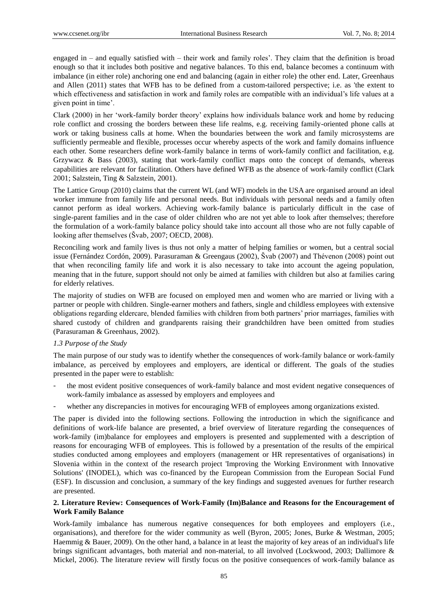engaged in – and equally satisfied with – their work and family roles'. They claim that the definition is broad enough so that it includes both positive and negative balances. To this end, balance becomes a continuum with imbalance (in either role) anchoring one end and balancing (again in either role) the other end. Later, Greenhaus and Allen (2011) states that WFB has to be defined from a custom-tailored perspective; i.e. as 'the extent to which effectiveness and satisfaction in work and family roles are compatible with an individual's life values at a given point in time'.

Clark (2000) in her 'work-family border theory' explains how individuals balance work and home by reducing role conflict and crossing the borders between these life realms, e.g. receiving family-oriented phone calls at work or taking business calls at home. When the boundaries between the work and family microsystems are sufficiently permeable and flexible, processes occur whereby aspects of the work and family domains influence each other. Some researchers define work-family balance in terms of work-family conflict and facilitation, e.g. Grzywacz & Bass (2003), stating that work-family conflict maps onto the concept of demands, whereas capabilities are relevant for facilitation. Others have defined WFB as the absence of work-family conflict (Clark 2001; Salzstein, Ting & Salzstein, 2001).

The Lattice Group (2010) claims that the current WL (and WF) models in the USA are organised around an ideal worker immune from family life and personal needs. But individuals with personal needs and a family often cannot perform as ideal workers. Achieving work-family balance is particularly difficult in the case of single-parent families and in the case of older children who are not yet able to look after themselves; therefore the formulation of a work-family balance policy should take into account all those who are not fully capable of looking after themselves (Švab, 2007; OECD, 2008).

Reconciling work and family lives is thus not only a matter of helping families or women, but a central social issue (Fernández Cordón, 2009). Parasuraman & Greengaus (2002), Švab (2007) and Thévenon (2008) point out that when reconciling family life and work it is also necessary to take into account the ageing population, meaning that in the future, support should not only be aimed at families with children but also at families caring for elderly relatives.

The majority of studies on WFB are focused on employed men and women who are married or living with a partner or people with children. Single-earner mothers and fathers, single and childless employees with extensive obligations regarding eldercare, blended families with children from both partners' prior marriages, families with shared custody of children and grandparents raising their grandchildren have been omitted from studies (Parasuraman & Greenhaus, 2002).

# *1.3 Purpose of the Study*

The main purpose of our study was to identify whether the consequences of work-family balance or work-family imbalance, as perceived by employees and employers, are identical or different. The goals of the studies presented in the paper were to establish:

- the most evident positive consequences of work-family balance and most evident negative consequences of work-family imbalance as assessed by employers and employees and
- whether any discrepancies in motives for encouraging WFB of employees among organizations existed.

The paper is divided into the following sections. Following the introduction in which the significance and definitions of work-life balance are presented, a brief overview of literature regarding the consequences of work-family (im)balance for employees and employers is presented and supplemented with a description of reasons for encouraging WFB of employees. This is followed by a presentation of the results of the empirical studies conducted among employees and employers (management or HR representatives of organisations) in Slovenia within in the context of the research project 'Improving the Working Environment with Innovative Solutions' (INODEL), which was co-financed by the European Commission from the European Social Fund (ESF). In discussion and conclusion, a summary of the key findings and suggested avenues for further research are presented.

# **2. Literature Review: Consequences of Work-Family (Im)Balance and Reasons for the Encouragement of Work Family Balance**

Work-family imbalance has numerous negative consequences for both employees and employers (i.e., organisations), and therefore for the wider community as well (Byron, 2005; Jones, Burke & Westman, 2005; Haemmig & Bauer, 2009). On the other hand, a balance in at least the majority of key areas of an individual's life brings significant advantages, both material and non-material, to all involved (Lockwood, 2003; Dallimore & Mickel, 2006). The literature review will firstly focus on the positive consequences of work-family balance as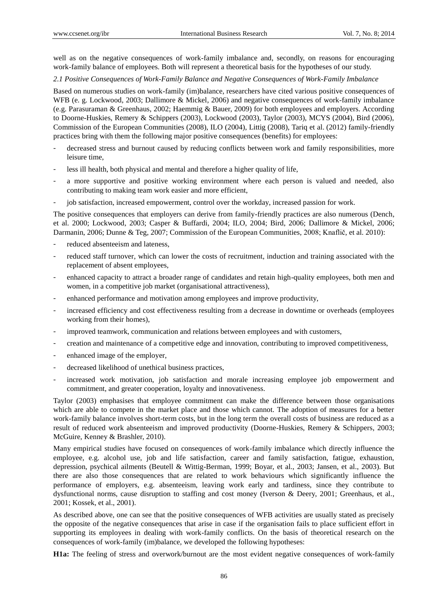well as on the negative consequences of work-family imbalance and, secondly, on reasons for encouraging work-family balance of employees. Both will represent a theoretical basis for the hypotheses of our study.

### *2.1 Positive Consequences of Work-Family Balance and Negative Consequences of Work-Family Imbalance*

Based on numerous studies on work-family (im)balance, researchers have cited various positive consequences of WFB (e. g. Lockwood, 2003; Dallimore & Mickel, 2006) and negative consequences of work-family imbalance (e.g. Parasuraman & Greenhaus, 2002; Haemmig & Bauer, 2009) for both employees and employers. According to Doorne-Huskies, Remery & Schippers (2003), Lockwood (2003), Taylor (2003), MCYS (2004), Bird (2006), Commission of the European Communities (2008), ILO (2004), Littig (2008), Tariq et al. (2012) family-friendly practices bring with them the following major positive consequences (benefits) for employees:

- decreased stress and burnout caused by reducing conflicts between work and family responsibilities, more leisure time,
- less ill health, both physical and mental and therefore a higher quality of life,
- a more supportive and positive working environment where each person is valued and needed, also contributing to making team work easier and more efficient,
- job satisfaction, increased empowerment, control over the workday, increased passion for work.

The positive consequences that employers can derive from family-friendly practices are also numerous (Dench, et al. 2000; Lockwood, 2003; Casper & Buffardi, 2004; ILO, 2004; Bird, 2006; Dallimore & Mickel, 2006; Darmanin, 2006; Dunne & Teg, 2007; Commission of the European Communities, 2008; Knaflič, et al. 2010):

- reduced absenteeism and lateness,
- reduced staff turnover, which can lower the costs of recruitment, induction and training associated with the replacement of absent employees,
- enhanced capacity to attract a broader range of candidates and retain high-quality employees, both men and women, in a competitive job market (organisational attractiveness),
- enhanced performance and motivation among employees and improve productivity,
- increased efficiency and cost effectiveness resulting from a decrease in downtime or overheads (employees working from their homes),
- improved teamwork, communication and relations between employees and with customers,
- creation and maintenance of a competitive edge and innovation, contributing to improved competitiveness,
- enhanced image of the employer,
- decreased likelihood of unethical business practices,
- increased work motivation, job satisfaction and morale increasing employee job empowerment and commitment, and greater cooperation, loyalty and innovativeness.

Taylor (2003) emphasises that employee commitment can make the difference between those organisations which are able to compete in the market place and those which cannot. The adoption of measures for a better work-family balance involves short-term costs, but in the long term the overall costs of business are reduced as a result of reduced work absenteeism and improved productivity (Doorne-Huskies, Remery & Schippers, 2003; McGuire, Kenney & Brashler, 2010).

Many empirical studies have focused on consequences of work-family imbalance which directly influence the employee, e.g. alcohol use, job and life satisfaction, career and family satisfaction, fatigue, exhaustion, depression, psychical ailments (Beutell & Wittig-Berman, 1999; Boyar, et al., 2003; Jansen, et al., 2003). But there are also those consequences that are related to work behaviours which significantly influence the performance of employers, e.g. absenteeism, leaving work early and tardiness, since they contribute to dysfunctional norms, cause disruption to staffing and cost money (Iverson & Deery, 2001; Greenhaus, et al., 2001; Kossek, et al., 2001).

As described above, one can see that the positive consequences of WFB activities are usually stated as precisely the opposite of the negative consequences that arise in case if the organisation fails to place sufficient effort in supporting its employees in dealing with work-family conflicts. On the basis of theoretical research on the consequences of work-family (im)balance, we developed the following hypotheses:

**H1a:** The feeling of stress and overwork/burnout are the most evident negative consequences of work-family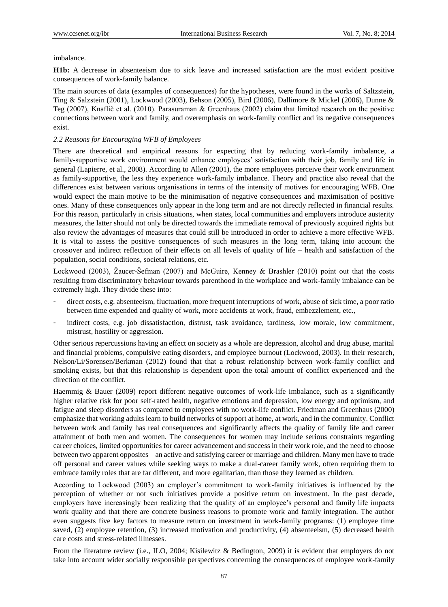#### imbalance.

**H1b:** A decrease in absenteeism due to sick leave and increased satisfaction are the most evident positive consequences of work-family balance.

The main sources of data (examples of consequences) for the hypotheses, were found in the works of Saltzstein, Ting & Salzstein (2001), Lockwood (2003), Behson (2005), Bird (2006), Dallimore & Mickel (2006), Dunne & Teg (2007), Knaflič et al. (2010). Parasuraman & Greenhaus (2002) claim that limited research on the positive connections between work and family, and overemphasis on work-family conflict and its negative consequences exist.

## *2.2 Reasons for Encouraging WFB of Employees*

There are theoretical and empirical reasons for expecting that by reducing work-family imbalance, a family-supportive work environment would enhance employees' satisfaction with their job, family and life in general (Lapierre, et al., 2008). According to Allen (2001), the more employees perceive their work environment as family-supportive, the less they experience work-family imbalance. Theory and practice also reveal that the differences exist between various organisations in terms of the intensity of motives for encouraging WFB. One would expect the main motive to be the minimisation of negative consequences and maximisation of positive ones. Many of these consequences only appear in the long term and are not directly reflected in financial results. For this reason, particularly in crisis situations, when states, local communities and employers introduce austerity measures, the latter should not only be directed towards the immediate removal of previously acquired rights but also review the advantages of measures that could still be introduced in order to achieve a more effective WFB. It is vital to assess the positive consequences of such measures in the long term, taking into account the crossover and indirect reflection of their effects on all levels of quality of life – health and satisfaction of the population, social conditions, societal relations, etc.

Lockwood (2003), Žaucer-Šefman (2007) and McGuire, Kenney & Brashler (2010) point out that the costs resulting from discriminatory behaviour towards parenthood in the workplace and work-family imbalance can be extremely high. They divide these into:

- direct costs, e.g. absenteeism, fluctuation, more frequent interruptions of work, abuse of sick time, a poor ratio between time expended and quality of work, more accidents at work, fraud, embezzlement, etc.,
- indirect costs, e.g. job dissatisfaction, distrust, task avoidance, tardiness, low morale, low commitment, mistrust, hostility or aggression.

Other serious repercussions having an effect on society as a whole are depression, alcohol and drug abuse, marital and financial problems, compulsive eating disorders, and employee burnout (Lockwood, 2003). In their research, Nelson/Li/Sorensen/Berkman (2012) found that that a robust relationship between work-family conflict and smoking exists, but that this relationship is dependent upon the total amount of conflict experienced and the direction of the conflict.

Haemmig & Bauer (2009) report different negative outcomes of work-life imbalance, such as a significantly higher relative risk for poor self-rated health, negative emotions and depression, low energy and optimism, and fatigue and sleep disorders as compared to employees with no work-life conflict. Friedman and Greenhaus (2000) emphasize that working adults learn to build networks of support at home, at work, and in the community. Conflict between work and family has real consequences and significantly affects the quality of family life and career attainment of both men and women. The consequences for women may include serious constraints regarding career choices, limited opportunities for career advancement and success in their work role, and the need to choose between two apparent opposites – an active and satisfying career or marriage and children. Many men have to trade off personal and career values while seeking ways to make a dual-career family work, often requiring them to embrace family roles that are far different, and more egalitarian, than those they learned as children.

According to Lockwood (2003) an employer's commitment to work-family initiatives is influenced by the perception of whether or not such initiatives provide a positive return on investment. In the past decade, employers have increasingly been realizing that the quality of an employee's personal and family life impacts work quality and that there are concrete business reasons to promote work and family integration. The author even suggests five key factors to measure return on investment in work-family programs: (1) employee time saved, (2) employee retention, (3) increased motivation and productivity, (4) absenteeism, (5) decreased health care costs and stress-related illnesses.

From the literature review (i.e., ILO, 2004; Kisilewitz & Bedington, 2009) it is evident that employers do not take into account wider socially responsible perspectives concerning the consequences of employee work-family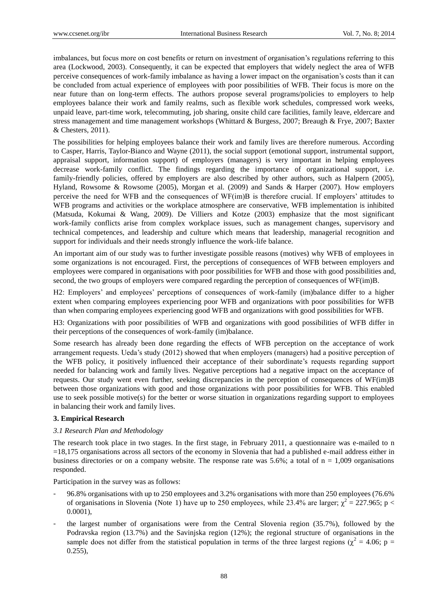imbalances, but focus more on cost benefits or return on investment of organisation's regulations referring to this area (Lockwood, 2003). Consequently, it can be expected that employers that widely neglect the area of WFB perceive consequences of work-family imbalance as having a lower impact on the organisation's costs than it can be concluded from actual experience of employees with poor possibilities of WFB. Their focus is more on the near future than on long-term effects. The authors propose several programs/policies to employers to help employees balance their work and family realms, such as flexible work schedules, compressed work weeks, unpaid leave, part-time work, telecommuting, job sharing, onsite child care facilities, family leave, eldercare and stress management and time management workshops (Whittard & Burgess, 2007; Breaugh & Frye, 2007; Baxter & Chesters, 2011).

The possibilities for helping employees balance their work and family lives are therefore numerous. According to Casper, Harris, Taylor-Bianco and Wayne (2011), the social support (emotional support, instrumental support, appraisal support, information support) of employers (managers) is very important in helping employees decrease work-family conflict. The findings regarding the importance of organizational support, i.e. family-friendly policies, offered by employers are also described by other authors, such as Halpern (2005), Hyland, Rowsome & Rowsome (2005), Morgan et al. (2009) and Sands & Harper (2007). How employers perceive the need for WFB and the consequences of WF(im)B is therefore crucial. If employers' attitudes to WFB programs and activities or the workplace atmosphere are conservative, WFB implementation is inhibited (Matsuda, Kokumai & Wang, 2009). De Villiers and Kotze (2003) emphasize that the most significant work-family conflicts arise from complex workplace issues, such as management changes, supervisory and technical competences, and leadership and culture which means that leadership, managerial recognition and support for individuals and their needs strongly influence the work-life balance.

An important aim of our study was to further investigate possible reasons (motives) why WFB of employees in some organizations is not encouraged. First, the perceptions of consequences of WFB between employers and employees were compared in organisations with poor possibilities for WFB and those with good possibilities and, second, the two groups of employers were compared regarding the perception of consequences of WF(im)B.

H2: Employers' and employees' perceptions of consequences of work-family (im)balance differ to a higher extent when comparing employees experiencing poor WFB and organizations with poor possibilities for WFB than when comparing employees experiencing good WFB and organizations with good possibilities for WFB.

H3: Organizations with poor possibilities of WFB and organizations with good possibilities of WFB differ in their perceptions of the consequences of work-family (im)balance.

Some research has already been done regarding the effects of WFB perception on the acceptance of work arrangement requests. Ueda's study (2012) showed that when employers (managers) had a positive perception of the WFB policy, it positively influenced their acceptance of their subordinate's requests regarding support needed for balancing work and family lives. Negative perceptions had a negative impact on the acceptance of requests. Our study went even further, seeking discrepancies in the perception of consequences of WF(im)B between those organizations with good and those organizations with poor possibilities for WFB. This enabled use to seek possible motive(s) for the better or worse situation in organizations regarding support to employees in balancing their work and family lives.

# **3. Empirical Research**

# *3.1 Research Plan and Methodology*

The research took place in two stages. In the first stage, in February 2011, a questionnaire was e-mailed to n =18,175 organisations across all sectors of the economy in Slovenia that had a published e-mail address either in business directories or on a company website. The response rate was 5.6%; a total of  $n = 1,009$  organisations responded.

Participation in the survey was as follows:

- 96.8% organisations with up to 250 employees and 3.2% organisations with more than 250 employees (76.6% of organisations in Slovenia (Note 1) have up to 250 employees, while 23.4% are larger;  $\chi^2 = 227.965$ ; p < 0.0001),
- the largest number of organisations were from the Central Slovenia region (35.7%), followed by the Podravska region (13.7%) and the Savinjska region (12%); the regional structure of organisations in the sample does not differ from the statistical population in terms of the three largest regions ( $\chi^2 = 4.06$ ; p = 0.255),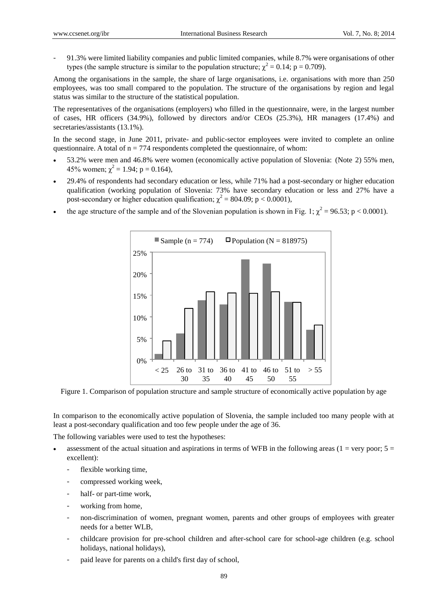- 91.3% were limited liability companies and public limited companies, while 8.7% were organisations of other types (the sample structure is similar to the population structure;  $\chi^2 = 0.14$ ; p = 0.709).

Among the organisations in the sample, the share of large organisations, i.e. organisations with more than 250 employees, was too small compared to the population. The structure of the organisations by region and legal status was similar to the structure of the statistical population.

The representatives of the organisations (employers) who filled in the questionnaire, were, in the largest number of cases, HR officers (34.9%), followed by directors and/or CEOs (25.3%), HR managers (17.4%) and secretaries/assistants (13.1%).

In the second stage, in June 2011, private- and public-sector employees were invited to complete an online questionnaire. A total of  $n = 774$  respondents completed the questionnaire, of whom:

- 53.2% were men and 46.8% were women (economically active population of Slovenia: (Note 2) 55% men, 45% women;  $\chi^2 = 1.94$ ; p = 0.164),
- 29.4% of respondents had secondary education or less, while 71% had a post-secondary or higher education qualification (working population of Slovenia: 73% have secondary education or less and 27% have a post-secondary or higher education qualification;  $\chi^2 = 804.09$ ; p < 0.0001),
- the age structure of the sample and of the Slovenian population is shown in Fig. 1;  $\chi^2 = 96.53$ ; p < 0.0001).



Figure 1. Comparison of population structure and sample structure of economically active population by age

In comparison to the economically active population of Slovenia, the sample included too many people with at least a post-secondary qualification and too few people under the age of 36.

The following variables were used to test the hypotheses:

- assessment of the actual situation and aspirations in terms of WFB in the following areas (1 = very poor;  $5 =$ excellent):
	- flexible working time,
	- compressed working week,
	- half- or part-time work,
	- working from home,
	- non-discrimination of women, pregnant women, parents and other groups of employees with greater needs for a better WLB,
	- childcare provision for pre-school children and after-school care for school-age children (e.g. school holidays, national holidays),
	- paid leave for parents on a child's first day of school,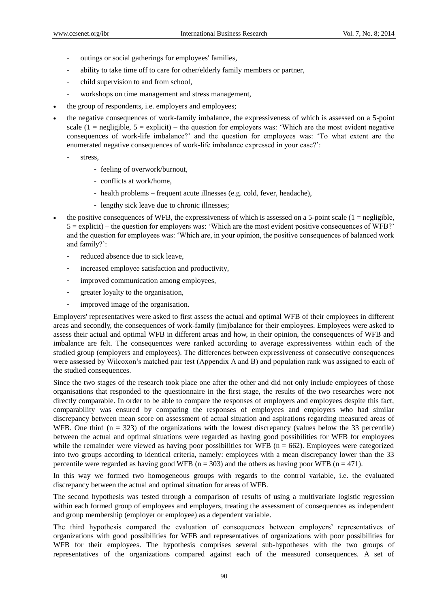- outings or social gatherings for employees' families,
- ability to take time off to care for other/elderly family members or partner,
- child supervision to and from school,
- workshops on time management and stress management,
- the group of respondents, i.e. employers and employees;
- the negative consequences of work-family imbalance, the expressiveness of which is assessed on a 5-point scale (1 = negligible,  $5 =$  explicit) – the question for employers was: 'Which are the most evident negative consequences of work-life imbalance?' and the question for employees was: 'To what extent are the enumerated negative consequences of work-life imbalance expressed in your case?':
	- stress.
		- feeling of overwork/burnout,
		- conflicts at work/home,
		- health problems frequent acute illnesses (e.g. cold, fever, headache),
		- lengthy sick leave due to chronic illnesses;
- the positive consequences of WFB, the expressiveness of which is assessed on a 5-point scale ( $1 = \frac{neq}{i}$ ) 5 = explicit) – the question for employers was: 'Which are the most evident positive consequences of WFB?' and the question for employees was: 'Which are, in your opinion, the positive consequences of balanced work and family?':
	- reduced absence due to sick leave,
	- increased employee satisfaction and productivity,
	- improved communication among employees,
	- greater loyalty to the organisation,
	- improved image of the organisation.

Employers' representatives were asked to first assess the actual and optimal WFB of their employees in different areas and secondly, the consequences of work-family (im)balance for their employees. Employees were asked to assess their actual and optimal WFB in different areas and how, in their opinion, the consequences of WFB and imbalance are felt. The consequences were ranked according to average expressiveness within each of the studied group (employers and employees). The differences between expressiveness of consecutive consequences were assessed by Wilcoxon's matched pair test (Appendix A and B) and population rank was assigned to each of the studied consequences.

Since the two stages of the research took place one after the other and did not only include employees of those organisations that responded to the questionnaire in the first stage, the results of the two researches were not directly comparable. In order to be able to compare the responses of employers and employees despite this fact, comparability was ensured by comparing the responses of employees and employers who had similar discrepancy between mean score on assessment of actual situation and aspirations regarding measured areas of WFB. One third  $(n = 323)$  of the organizations with the lowest discrepancy (values below the 33 percentile) between the actual and optimal situations were regarded as having good possibilities for WFB for employees while the remainder were viewed as having poor possibilities for WFB ( $n = 662$ ). Employees were categorized into two groups according to identical criteria, namely: employees with a mean discrepancy lower than the 33 percentile were regarded as having good WFB  $(n = 303)$  and the others as having poor WFB  $(n = 471)$ .

In this way we formed two homogeneous groups with regards to the control variable, i.e. the evaluated discrepancy between the actual and optimal situation for areas of WFB.

The second hypothesis was tested through a comparison of results of using a multivariate logistic regression within each formed group of employees and employers, treating the assessment of consequences as independent and group membership (employer or employee) as a dependent variable.

The third hypothesis compared the evaluation of consequences between employers' representatives of organizations with good possibilities for WFB and representatives of organizations with poor possibilities for WFB for their employees. The hypothesis comprises several sub-hypotheses with the two groups of representatives of the organizations compared against each of the measured consequences. A set of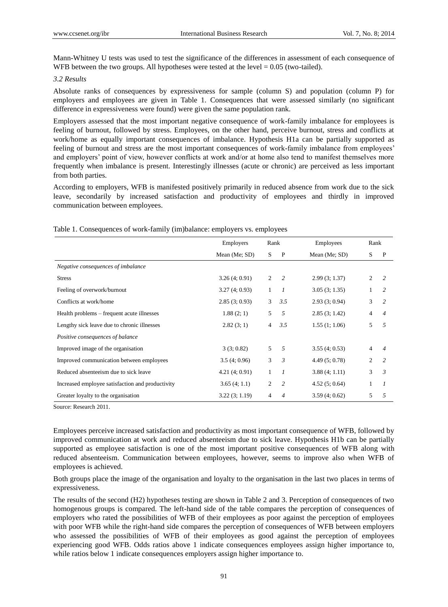Mann-Whitney U tests was used to test the significance of the differences in assessment of each consequence of WFB between the two groups. All hypotheses were tested at the level  $= 0.05$  (two-tailed).

#### *3.2 Results*

Absolute ranks of consequences by expressiveness for sample (column S) and population (column P) for employers and employees are given in Table 1. Consequences that were assessed similarly (no significant difference in expressiveness were found) were given the same population rank.

Employers assessed that the most important negative consequence of work-family imbalance for employees is feeling of burnout, followed by stress. Employees, on the other hand, perceive burnout, stress and conflicts at work/home as equally important consequences of imbalance. Hypothesis H1a can be partially supported as feeling of burnout and stress are the most important consequences of work-family imbalance from employees' and employers' point of view, however conflicts at work and/or at home also tend to manifest themselves more frequently when imbalance is present. Interestingly illnesses (acute or chronic) are perceived as less important from both parties.

According to employers, WFB is manifested positively primarily in reduced absence from work due to the sick leave, secondarily by increased satisfaction and productivity of employees and thirdly in improved communication between employees.

|                                                  | <b>Employers</b><br>Rank |                | <b>Employees</b> | Rank          |                |                |
|--------------------------------------------------|--------------------------|----------------|------------------|---------------|----------------|----------------|
|                                                  | Mean (Me; SD)            | S              | P                | Mean (Me; SD) | S              | P              |
| Negative consequences of imbalance               |                          |                |                  |               |                |                |
| <b>Stress</b>                                    | 3.26(4;0.91)             | 2              | 2                | 2.99(3; 1.37) | $\overline{2}$ | 2              |
| Feeling of overwork/burnout                      | 3.27(4;0.93)             | 1              | $\overline{I}$   | 3.05(3; 1.35) | 1              | 2              |
| Conflicts at work/home                           | 2.85(3;0.93)             | 3              | 3.5              | 2.93(3;0.94)  | 3              | $\overline{c}$ |
| Health problems – frequent acute illnesses       | 1.88(2; 1)               | 5              | 5                | 2.85(3; 1.42) | 4              | $\overline{4}$ |
| Lengthy sick leave due to chronic illnesses      | 2.82(3;1)                | $\overline{4}$ | 3.5              | 1.55(1; 1.06) | 5              | .5             |
| Positive consequences of balance                 |                          |                |                  |               |                |                |
| Improved image of the organisation               | 3(3; 0.82)               | 5              | 5                | 3.55(4; 0.53) | $\overline{4}$ | $\overline{4}$ |
| Improved communication between employees         | 3.5(4;0.96)              | 3              | $\mathfrak{Z}$   | 4.49(5;0.78)  | $\overline{2}$ | 2              |
| Reduced absenteeism due to sick leave            | 4.21(4;0.91)             | 1              | $\boldsymbol{l}$ | 3.88(4; 1.11) | 3              | $\mathcal{E}$  |
| Increased employee satisfaction and productivity | 3.65(4;1.1)              | $\overline{c}$ | $\overline{2}$   | 4.52(5; 0.64) |                | $\mathcal I$   |
| Greater loyalty to the organisation              | 3.22(3;1.19)             | $\overline{4}$ | $\overline{4}$   | 3.59(4;0.62)  | 5              | 5              |

Table 1. Consequences of work-family (im)balance: employers vs. employees

Source: Research 2011.

Employees perceive increased satisfaction and productivity as most important consequence of WFB, followed by improved communication at work and reduced absenteeism due to sick leave. Hypothesis H1b can be partially supported as employee satisfaction is one of the most important positive consequences of WFB along with reduced absenteeism. Communication between employees, however, seems to improve also when WFB of employees is achieved.

Both groups place the image of the organisation and loyalty to the organisation in the last two places in terms of expressiveness.

The results of the second (H2) hypotheses testing are shown in Table 2 and 3. Perception of consequences of two homogenous groups is compared. The left-hand side of the table compares the perception of consequences of employers who rated the possibilities of WFB of their employees as poor against the perception of employees with poor WFB while the right-hand side compares the perception of consequences of WFB between employers who assessed the possibilities of WFB of their employees as good against the perception of employees experiencing good WFB. Odds ratios above 1 indicate consequences employees assign higher importance to, while ratios below 1 indicate consequences employers assign higher importance to.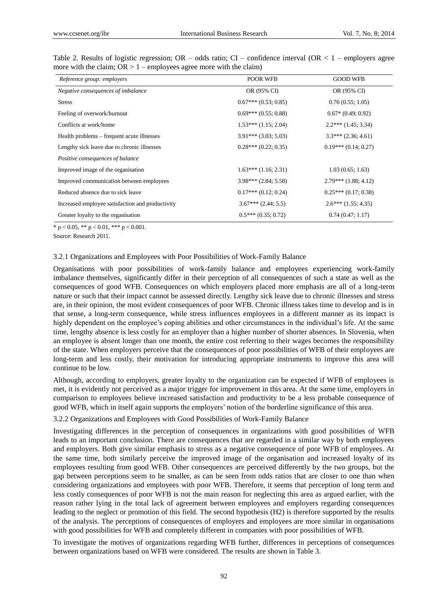| Reference group: employers                       | <b>POOR WFB</b>          | <b>GOOD WFB</b>         |
|--------------------------------------------------|--------------------------|-------------------------|
| Negative consequences of imbalance               | OR (95% CI)              | OR (95% CI)             |
| <b>Stress</b>                                    | $0.67***(0.53;0.85)$     | 0.76(0.55; 1.05)        |
| Feeling of overwork/burnout                      | $0.69***(0.55;0.88)$     | $0.67*(0.49; 0.92)$     |
| Conflicts at work/home                           | $1.53***(1.15; 2.04)$    | $2.2***(1.45; 3.34)$    |
| Health problems – frequent acute illnesses       | $3.91***$ $(3.03; 5.03)$ | $3.3***$ $(2.36; 4.61)$ |
| Lengthy sick leave due to chronic illnesses      | $0.28***(0.22; 0.35)$    | $0.19***(0.14;0.27)$    |
| Positive consequences of balance                 |                          |                         |
| Improved image of the organisation               | $1.63***(1.16; 2.31)$    | 1.03(0.65; 1.63)        |
| Improved communication between employees         | $3.98***$ $(2.84; 5.58)$ | $2.79***(1.88; 4.12)$   |
| Reduced absence due to sick leave                | $0.17***(0.12;0.24)$     | $0.25***(0.17;0.38)$    |
| Increased employee satisfaction and productivity | $3.67***(2.44; 5.5)$     | $2.6***(1.55; 4.35)$    |
| Greater loyalty to the organisation              | $0.5***(0.35;0.72)$      | 0.74(0.47; 1.17)        |

Table 2. Results of logistic regression;  $OR - odds$  ratio;  $CI - confidence$  interval  $(OR < 1 - employees$  agree more with the claim;  $OR > 1$  – employees agree more with the claim)

\* p < 0.05, \*\* p < 0.01, \*\*\* p < 0.001.

Source: Research 2011.

#### 3.2.1 Organizations and Employees with Poor Possibilities of Work-Family Balance

Organisations with poor possibilities of work-family balance and employees experiencing work-family imbalance themselves, significantly differ in their perception of all consequences of such a state as well as the consequences of good WFB. Consequences on which employers placed more emphasis are all of a long-term nature or such that their impact cannot be assessed directly. Lengthy sick leave due to chronic illnesses and stress are, in their opinion, the most evident consequences of poor WFB. Chronic illness takes time to develop and is in that sense, a long-term consequence, while stress influences employees in a different manner as its impact is highly dependent on the employee's coping abilities and other circumstances in the individual's life. At the same time, lengthy absence is less costly for an employer than a higher number of shorter absences. In Slovenia, when an employee is absent longer than one month, the entire cost referring to their wages becomes the responsibility of the state. When employers perceive that the consequences of poor possibilities of WFB of their employees are long-term and less costly, their motivation for introducing appropriate instruments to improve this area will continue to be low.

Although, according to employers, greater loyalty to the organization can be expected if WFB of employees is met, it is evidently not perceived as a major trigger for improvement in this area. At the same time, employers in comparison to employees believe increased satisfaction and productivity to be a less probable consequence of good WFB, which in itself again supports the employers' notion of the borderline significance of this area.

3.2.2 Organizations and Employees with Good Possibilities of Work-Family Balance

Investigating differences in the perception of consequences in organizations with good possibilities of WFB leads to an important conclusion. There are consequences that are regarded in a similar way by both employees and employers. Both give similar emphasis to stress as a negative consequence of poor WFB of employees. At the same time, both similarly perceive the improved image of the organisation and increased loyalty of its employees resulting from good WFB. Other consequences are perceived differently by the two groups, but the gap between perceptions seem to be smaller, as can be seen from odds ratios that are closer to one than when considering organizations and employees with poor WFB. Therefore, it seems that perception of long term and less costly consequences of poor WFB is not the main reason for neglecting this area as argued earlier, with the reason rather lying in the total lack of agreement between employees and employers regarding consequences leading to the neglect or promotion of this field. The second hypothesis (H2) is therefore supported by the results of the analysis. The perceptions of consequences of employers and employees are more similar in organisations with good possibilities for WFB and completely different in companies with poor possibilities of WFB.

To investigate the motives of organizations regarding WFB further, differences in perceptions of consequences between organizations based on WFB were considered. The results are shown in Table 3.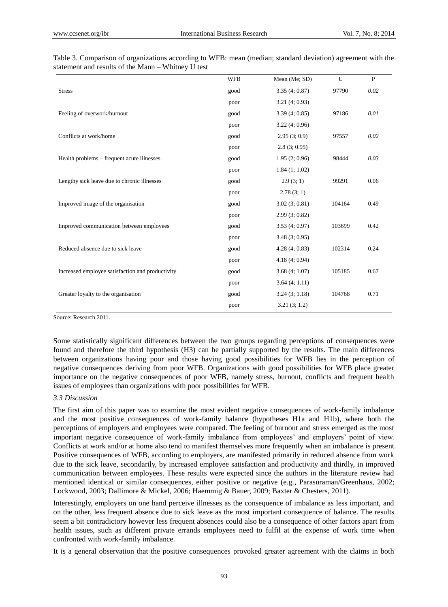Table 3. Comparison of organizations according to WFB: mean (median; standard deviation) agreement with the statement and results of the Mann – Whitney U test

|                                                  | <b>WFB</b> | Mean (Me; SD) | U      | P    |
|--------------------------------------------------|------------|---------------|--------|------|
| <b>Stress</b>                                    | good       | 3.35(4;0.87)  | 97790  | 0.02 |
|                                                  | poor       | 3.21(4;0.93)  |        |      |
| Feeling of overwork/burnout                      | good       | 3.39(4;0.85)  | 97186  | 0.01 |
|                                                  | poor       | 3.22(4;0.96)  |        |      |
| Conflicts at work/home                           | good       | 2.95(3;0.9)   | 97557  | 0.02 |
|                                                  | poor       | 2.8(3;0.95)   |        |      |
| Health problems – frequent acute illnesses       | good       | 1.95(2;0.96)  | 98444  | 0.03 |
|                                                  | poor       | 1.84(1; 1.02) |        |      |
| Lengthy sick leave due to chronic illnesses      | good       | 2.9(3;1)      | 99291  | 0.06 |
|                                                  | poor       | 2.78(3;1)     |        |      |
| Improved image of the organisation               | good       | 3.02(3;0.81)  | 104164 | 0.49 |
|                                                  | poor       | 2.99(3;0.82)  |        |      |
| Improved communication between employees         | good       | 3.53(4;0.97)  | 103699 | 0.42 |
|                                                  | poor       | 3.48(3;0.95)  |        |      |
| Reduced absence due to sick leave                | good       | 4.28(4;0.83)  | 102314 | 0.24 |
|                                                  | poor       | 4.18(4;0.94)  |        |      |
| Increased employee satisfaction and productivity | good       | 3.68(4;1.07)  | 105185 | 0.67 |
|                                                  | poor       | 3.64(4; 1.11) |        |      |
| Greater loyalty to the organisation              | good       | 3.24(3; 1.18) | 104768 | 0.71 |
|                                                  | poor       | 3.21(3; 1.2)  |        |      |

Source: Research 2011.

Some statistically significant differences between the two groups regarding perceptions of consequences were found and therefore the third hypothesis (H3) can be partially supported by the results. The main differences between organizations having poor and those having good possibilities for WFB lies in the perception of negative consequences deriving from poor WFB. Organizations with good possibilities for WFB place greater importance on the negative consequences of poor WFB, namely stress, burnout, conflicts and frequent health issues of employees than organizations with poor possibilities for WFB.

#### *3.3 Discussion*

The first aim of this paper was to examine the most evident negative consequences of work-family imbalance and the most positive consequences of work-family balance (hypotheses H1a and H1b), where both the perceptions of employers and employees were compared. The feeling of burnout and stress emerged as the most important negative consequence of work-family imbalance from employees' and employers' point of view. Conflicts at work and/or at home also tend to manifest themselves more frequently when an imbalance is present. Positive consequences of WFB, according to employers, are manifested primarily in reduced absence from work due to the sick leave, secondarily, by increased employee satisfaction and productivity and thirdly, in improved communication between employees. These results were expected since the authors in the literature review had mentioned identical or similar consequences, either positive or negative (e.g., Parasuraman/Greenhaus, 2002; Lockwood, 2003; Dallimore & Mickel, 2006; Haemmig & Bauer, 2009; Baxter & Chesters, 2011).

Interestingly, employers on one hand perceive illnesses as the consequence of imbalance as less important, and on the other, less frequent absence due to sick leave as the most important consequence of balance. The results seem a bit contradictory however less frequent absences could also be a consequence of other factors apart from health issues, such as different private errands employees need to fulfil at the expense of work time when confronted with work-family imbalance.

It is a general observation that the positive consequences provoked greater agreement with the claims in both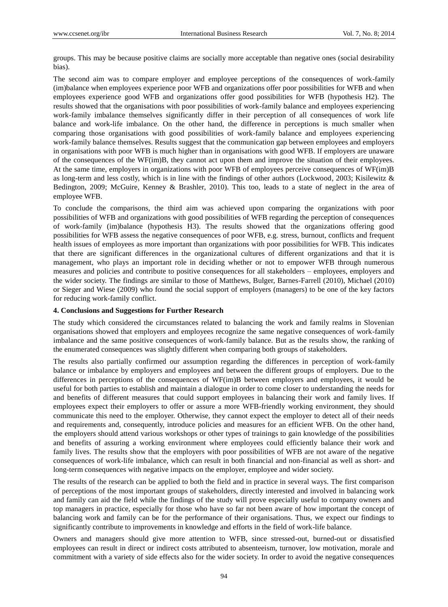groups. This may be because positive claims are socially more acceptable than negative ones (social desirability bias).

The second aim was to compare employer and employee perceptions of the consequences of work-family (im)balance when employees experience poor WFB and organizations offer poor possibilities for WFB and when employees experience good WFB and organizations offer good possibilities for WFB (hypothesis H2). The results showed that the organisations with poor possibilities of work-family balance and employees experiencing work-family imbalance themselves significantly differ in their perception of all consequences of work life balance and work-life imbalance. On the other hand, the difference in perceptions is much smaller when comparing those organisations with good possibilities of work-family balance and employees experiencing work-family balance themselves. Results suggest that the communication gap between employees and employers in organisations with poor WFB is much higher than in organisations with good WFB. If employers are unaware of the consequences of the WF(im)B, they cannot act upon them and improve the situation of their employees. At the same time, employers in organizations with poor WFB of employees perceive consequences of WF(im)B as long-term and less costly, which is in line with the findings of other authors (Lockwood, 2003; Kisilewitz & Bedington, 2009; McGuire, Kenney & Brashler, 2010). This too, leads to a state of neglect in the area of employee WFB.

To conclude the comparisons, the third aim was achieved upon comparing the organizations with poor possibilities of WFB and organizations with good possibilities of WFB regarding the perception of consequences of work-family (im)balance (hypothesis H3). The results showed that the organizations offering good possibilities for WFB assess the negative consequences of poor WFB, e.g. stress, burnout, conflicts and frequent health issues of employees as more important than organizations with poor possibilities for WFB. This indicates that there are significant differences in the organizational cultures of different organizations and that it is management, who plays an important role in deciding whether or not to empower WFB through numerous measures and policies and contribute to positive consequences for all stakeholders – employees, employers and the wider society. The findings are similar to those of Matthews, Bulger, Barnes-Farrell (2010), Michael (2010) or Sieger and Wiese (2009) who found the social support of employers (managers) to be one of the key factors for reducing work-family conflict.

#### **4. Conclusions and Suggestions for Further Research**

The study which considered the circumstances related to balancing the work and family realms in Slovenian organisations showed that employers and employees recognize the same negative consequences of work-family imbalance and the same positive consequences of work-family balance. But as the results show, the ranking of the enumerated consequences was slightly different when comparing both groups of stakeholders.

The results also partially confirmed our assumption regarding the differences in perception of work-family balance or imbalance by employers and employees and between the different groups of employers. Due to the differences in perceptions of the consequences of WF(im)B between employers and employees, it would be useful for both parties to establish and maintain a dialogue in order to come closer to understanding the needs for and benefits of different measures that could support employees in balancing their work and family lives. If employees expect their employers to offer or assure a more WFB-friendly working environment, they should communicate this need to the employer. Otherwise, they cannot expect the employer to detect all of their needs and requirements and, consequently, introduce policies and measures for an efficient WFB. On the other hand, the employers should attend various workshops or other types of trainings to gain knowledge of the possibilities and benefits of assuring a working environment where employees could efficiently balance their work and family lives. The results show that the employers with poor possibilities of WFB are not aware of the negative consequences of work-life imbalance, which can result in both financial and non-financial as well as short- and long-term consequences with negative impacts on the employer, employee and wider society.

The results of the research can be applied to both the field and in practice in several ways. The first comparison of perceptions of the most important groups of stakeholders, directly interested and involved in balancing work and family can aid the field while the findings of the study will prove especially useful to company owners and top managers in practice, especially for those who have so far not been aware of how important the concept of balancing work and family can be for the performance of their organisations. Thus, we expect our findings to significantly contribute to improvements in knowledge and efforts in the field of work-life balance.

Owners and managers should give more attention to WFB, since stressed-out, burned-out or dissatisfied employees can result in direct or indirect costs attributed to absenteeism, turnover, low motivation, morale and commitment with a variety of side effects also for the wider society. In order to avoid the negative consequences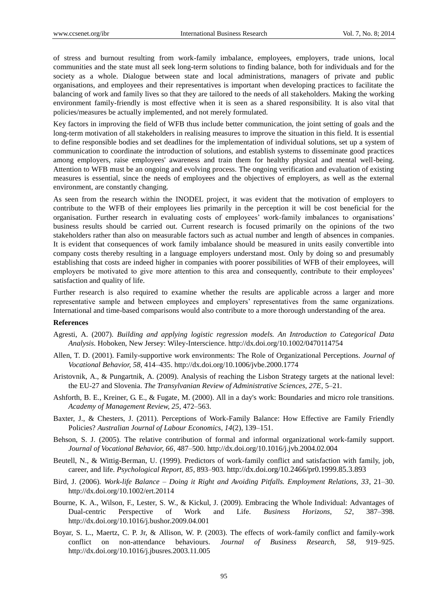of stress and burnout resulting from work-family imbalance, employees, employers, trade unions, local communities and the state must all seek long-term solutions to finding balance, both for individuals and for the society as a whole. Dialogue between state and local administrations, managers of private and public organisations, and employees and their representatives is important when developing practices to facilitate the balancing of work and family lives so that they are tailored to the needs of all stakeholders. Making the working environment family-friendly is most effective when it is seen as a shared responsibility. It is also vital that policies/measures be actually implemented, and not merely formulated.

Key factors in improving the field of WFB thus include better communication, the joint setting of goals and the long-term motivation of all stakeholders in realising measures to improve the situation in this field. It is essential to define responsible bodies and set deadlines for the implementation of individual solutions, set up a system of communication to coordinate the introduction of solutions, and establish systems to disseminate good practices among employers, raise employees' awareness and train them for healthy physical and mental well-being. Attention to WFB must be an ongoing and evolving process. The ongoing verification and evaluation of existing measures is essential, since the needs of employees and the objectives of employers, as well as the external environment, are constantly changing.

As seen from the research within the INODEL project, it was evident that the motivation of employers to contribute to the WFB of their employees lies primarily in the perception it will be cost beneficial for the organisation. Further research in evaluating costs of employees' work-family imbalances to organisations' business results should be carried out. Current research is focused primarily on the opinions of the two stakeholders rather than also on measurable factors such as actual number and length of absences in companies. It is evident that consequences of work family imbalance should be measured in units easily convertible into company costs thereby resulting in a language employers understand most. Only by doing so and presumably establishing that costs are indeed higher in companies with poorer possibilities of WFB of their employees, will employers be motivated to give more attention to this area and consequently, contribute to their employees' satisfaction and quality of life.

Further research is also required to examine whether the results are applicable across a larger and more representative sample and between employees and employers' representatives from the same organizations. International and time-based comparisons would also contribute to a more thorough understanding of the area.

#### **References**

- Agresti, A. (2007). *Building and applying logistic regression models. An Introduction to Categorical Data Analysis*. Hoboken, New Jersey: Wiley-Interscience. http://dx.doi.org/10.1002/0470114754
- Allen, T. D. (2001). Family-supportive work environments: The Role of Organizational Perceptions. *Journal of Vocational Behavior, 58*, 414–435. http://dx.doi.org/10.1006/jvbe.2000.1774
- Aristovnik, A., & Pungartnik, A. (2009). Analysis of reaching the Lisbon Strategy targets at the national level: the EU-27 and Slovenia. *The Transylvanian Review of Administrative Sciences, 27E*, 5–21.
- Ashforth, B. E., Kreiner, G. E., & Fugate, M. (2000). All in a day's work: Boundaries and micro role transitions. *Academy of Management Review, 25*, 472–563.
- Baxter, J., & Chesters, J. (2011). Perceptions of Work-Family Balance: How Effective are Family Friendly Policies? *Australian Journal of Labour Economics, 14*(2), 139–151.
- Behson, S. J. (2005). The relative contribution of formal and informal organizational work-family support. *Journal of Vocational Behavior, 66*, 487–500. http://dx.doi.org/10.1016/j.jvb.2004.02.004
- Beutell, N., & Wittig-Berman, U. (1999). Predictors of work-family conflict and satisfaction with family, job, career, and life. *Psychological Report, 85*, 893–903. http://dx.doi.org/10.2466/pr0.1999.85.3.893
- Bird, J. (2006). *Work-life Balance – Doing it Right and Avoiding Pitfalls. Employment Relations, 33*, 21–30. http://dx.doi.org/10.1002/ert.20114
- Bourne, K. A., Wilson, F., Lester, S. W., & Kickul, J. (2009). Embracing the Whole Individual: Advantages of Dual-centric Perspective of Work and Life. *Business Horizons, 52*, 387–398. http://dx.doi.org/10.1016/j.bushor.2009.04.001
- Boyar, S. L., Maertz, C. P. Jr, & Allison, W. P. (2003). The effects of work-family conflict and family-work conflict on non-attendance behaviours. *Journal of Business Research, 58*, 919–925. http://dx.doi.org/10.1016/j.jbusres.2003.11.005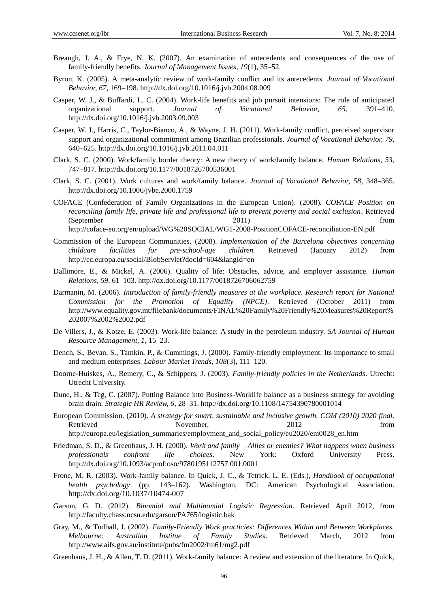- Breaugh, J. A., & Frye, N. K. (2007). An examination of antecedents and consequences of the use of family-friendly benefits. *Journal of Management Issues, 19*(1), 35–52.
- Byron, K. (2005). A meta-analytic review of work-family conflict and its antecedents. *Journal of Vocational Behavior, 67*, 169–198. http://dx.doi.org/10.1016/j.jvb.2004.08.009
- Casper, W. J., & Buffardi, L. C. (2004). Work-life benefits and job pursuit intensions: The role of anticipated organizational support. *Journal of Vocational Behavior, 65*, 391–410. http://dx.doi.org/10.1016/j.jvb.2003.09.003
- Casper, W. J., Harris, C., Taylor-Bianco, A., & Wayne, J. H. (2011). Work-family conflict, perceived supervisor support and organizational commitment among Brazilian professionals. *Journal of Vocational Behavior, 79,* 640–625. http://dx.doi.org/10.1016/j.jvb.2011.04.011
- Clark, S. C. (2000). Work/family border theory: A new theory of work/family balance. *Human Relations, 53*, 747–817. http://dx.doi.org/10.1177/0018726700536001
- Clark, S. C. (2001). Work cultures and work/family balance. *Journal of Vocational Behavior, 58*, 348–365. http://dx.doi.org/10.1006/jvbe.2000.1759
- COFACE (Confederation of Family Organizations in the European Union). (2008). *COFACE Position on reconciling family life, private life and professional life to prevent poverty and social exclusion*. Retrieved (September 2011) from http://coface-eu.org/en/upload/WG%20SOCIAL/WG1-2008-PositionCOFACE-reconciliation-EN.pdf
- Commission of the European Communities. (2008). *Implementation of the Barcelona objectives concerning childcare facilities for pre-school-age children.* Retrieved (January 2012) from http://ec.europa.eu/social/BlobServlet?docId=604&langId=en
- Dallimore, E., & Mickel, A. (2006). Quality of life: Obstacles, advice, and employer assistance. *Human Relations, 59*, 61–103. http://dx.doi.org/10.1177/0018726706062759
- Darmanin, M. (2006). *Introduction of family-friendly measures at the workplace. Research report for National Commission for the Promotion of Equality (NPCE)*. Retrieved (October 2011) from http://www.equality.gov.mt/filebank/documents/FINAL%20Family%20Friendly%20Measures%20Report% 202007%2002%2002.pdf
- De Villers, J., & Kotze, E. (2003). Work-life balance: A study in the petroleum industry. *SA Journal of Human Resource Management, 1*, 15–23.
- Dench, S., Bevan, S., Tamkin, P., & Cummings, J. (2000). Family-friendly employment: Its importance to small and medium enterprises. *Labour Market Trends, 108*(3), 111–120.
- Doorne-Huiskes, A., Remery, C., & Schippers, J. (2003). *Family-friendly policies in the Netherlands*. Utrecht: Utrecht University.
- Dune, H., & Teg, C. (2007). Putting Balance into Business-Worklife balance as a business strategy for avoiding brain drain. *Strategic HR Review, 6*, 28–31. http://dx.doi.org/10.1108/14754390780001014
- European Commission. (2010). *A strategy for smart, sustainable and inclusive growth. COM (2010) 2020 final*. Retrieved November, 2012 from http://europa.eu/legislation\_summaries/employment\_and\_social\_policy/eu2020/em0028\_en.htm
- Friedman, S. D., & Greenhaus, J. H. (2000). *Work and family – Allies or enemies? What happens when business professionals confront life choices*. New York: Oxford University Press. http://dx.doi.org/10.1093/acprof:oso/9780195112757.001.0001
- Frone, M. R. (2003). Work-family balance. In Quick, J. C., & Tetrick, L. E. (Eds.), *Handbook of occupational health psychology* (pp. 143–162). Washington, DC: American Psychological Association. http://dx.doi.org/10.1037/10474-007
- Garson, G. D. (2012). *Binomial and Multinomial Logistic Regression*. Retrieved April 2012, from http://faculty.chass.ncsu.edu/garson/PA765/logistic.bak
- Gray, M., & Tudball, J. (2002). *Family-Friendly Work practicies: Differences Within and Between Workplaces. Melbourne: Australian Institue of Family Studies*. Retrieved March, 2012 from http://www.aifs.gov.au/institute/pubs/fm2002/fm61/mg2.pdf
- Greenhaus, J. H., & Allen, T. D. (2011). Work-family balance: A review and extension of the literature. In Quick,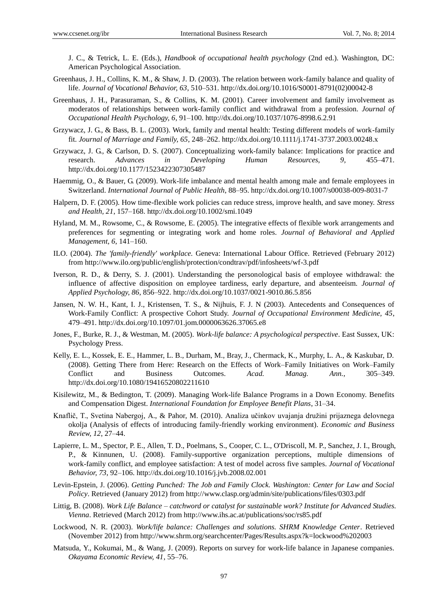J. C., & Tetrick, L. E. (Eds.), *Handbook of occupational health psychology* (2nd ed.). Washington, DC: American Psychological Association.

- Greenhaus, J. H., Collins, K. M., & Shaw, J. D. (2003). The relation between work-family balance and quality of life. *Journal of Vocational Behavior, 63*, 510–531. http://dx.doi.org/10.1016/S0001-8791(02)00042-8
- Greenhaus, J. H., Parasuraman, S., & Collins, K. M. (2001). Career involvement and family involvement as moderatos of relationships between work-family conflict and withdrawal from a profession. *Journal of Occupational Health Psychology, 6*, 91–100. http://dx.doi.org/10.1037/1076-8998.6.2.91
- Grzywacz, J. G., & Bass, B. L. (2003). Work, family and mental health: Testing different models of work-family fit. *Journal of Marriage and Family, 65*, 248–262. http://dx.doi.org/10.1111/j.1741-3737.2003.00248.x
- Grzywacz, J. G., & Carlson, D. S. (2007). Conceptualizing work-family balance: Implications for practice and research. *Advances in Developing Human Resources, 9,* 455–471. http://dx.doi.org/10.1177/1523422307305487
- Haemmig, O., & Bauer, G. (2009). Work-life imbalance and mental health among male and female employees in Switzerland. *International Journal of Public Health*, 88–95. http://dx.doi.org/10.1007/s00038-009-8031-7
- Halpern, D. F. (2005). How time-flexible work policies can reduce stress, improve health, and save money. *Stress and Health, 21*, 157–168. http://dx.doi.org/10.1002/smi.1049
- Hyland, M. M., Rowsome, C., & Rowsome, E. (2005). The integrative effects of flexible work arrangements and preferences for segmenting or integrating work and home roles. *Journal of Behavioral and Applied Management, 6*, 141–160.
- ILO. (2004). *The 'family-friendly' workplace.* Geneva: International Labour Office. Retrieved (February 2012) from http://www.ilo.org/public/english/protection/condtrav/pdf/infosheets/wf-3.pdf
- Iverson, R. D., & Derry, S. J. (2001). Understanding the personological basis of employee withdrawal: the influence of affective disposition on employee tardiness, early departure, and absenteeism. *Journal of Applied Psychology, 86*, 856–922. http://dx.doi.org/10.1037/0021-9010.86.5.856
- Jansen, N. W. H., Kant, I. J., Kristensen, T. S., & Nijhuis, F. J. N (2003). Antecedents and Consequences of Work-Family Conflict: A prospective Cohort Study. *Journal of Occupational Environment Medicine, 45*, 479–491. http://dx.doi.org/10.1097/01.jom.0000063626.37065.e8
- Jones, F., Burke, R. J., & Westman, M. (2005). *Work-life balance: A psychological perspective*. East Sussex, UK: Psychology Press.
- Kelly, E. L., Kossek, E. E., Hammer, L. B., Durham, M., Bray, J., Chermack, K., Murphy, L. A., & Kaskubar, D. (2008). Getting There from Here: Research on the Effects of Work–Family Initiatives on Work–Family Conflict and Business Outcomes. *Acad. Manag. Ann.*, 305–349. http://dx.doi.org/10.1080/19416520802211610
- Kisilewitz, M., & Bedington, T. (2009). Managing Work-life Balance Programs in a Down Economy. Benefits and Compensation Digest. *International Foundation for Employee Benefit Plans*, 31–34.
- Knaflič, T., Svetina Nabergoj, A., & Pahor, M. (2010). Analiza učinkov uvajanja družini prijaznega delovnega okolja (Analysis of effects of introducing family-friendly working environment). *Economic and Business Review, 12*, 27–44.
- Lapierre, L. M., Spector, P. E., Allen, T. D., Poelmans, S., Cooper, C. L., O'Driscoll, M. P., Sanchez, J. I., Brough, P., & Kinnunen, U. (2008). Family-supportive organization perceptions, multiple dimensions of work-family conflict, and employee satisfaction: A test of model across five samples. *Journal of Vocational Behavior, 73*, 92–106. http://dx.doi.org/10.1016/j.jvb.2008.02.001
- Levin-Epstein, J. (2006). *Getting Punched: The Job and Family Clock. Washington: Center for Law and Social Policy*. Retrieved (January 2012) from http://www.clasp.org/admin/site/publications/files/0303.pdf
- Littig, B. (2008). *Work Life Balance – catchword or catalyst for sustainable work? Institute for Advanced Studies. Vienna*. Retrieved (March 2012) from http://www.ihs.ac.at/publications/soc/rs85.pdf
- Lockwood, N. R. (2003). *Work/life balance: Challenges and solutions. SHRM Knowledge Center*. Retrieved (November 2012) from http://www.shrm.org/searchcenter/Pages/Results.aspx?k=lockwood%202003
- Matsuda, Y., Kokumai, M., & Wang, J. (2009). Reports on survey for work-life balance in Japanese companies. *Okayama Economic Review, 41*, 55–76.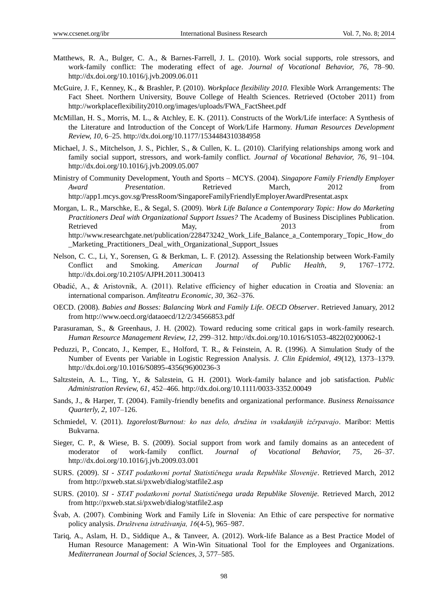- Matthews, R. A., Bulger, C. A., & Barnes-Farrell, J. L. (2010). Work social supports, role stressors, and work-family conflict: The moderating effect of age. *Journal of Vocational Behavior, 76*, 78–90. http://dx.doi.org/10.1016/j.jvb.2009.06.011
- McGuire, J. F., Kenney, K., & Brashler, P. (2010). *Workplace flexibility 2010.* Flexible Work Arrangements: The Fact Sheet. Northern University, Bouve College of Health Sciences. Retrieved (October 2011) from http://workplaceflexibility2010.org/images/uploads/FWA\_FactSheet.pdf
- McMillan, H. S., Morris, M. L., & Atchley, E. K. (2011). Constructs of the Work/Life interface: A Synthesis of the Literature and Introduction of the Concept of Work/Life Harmony. *Human Resources Development Review, 10*, 6–25. http://dx.doi.org/10.1177/1534484310384958
- Michael, J. S., Mitchelson, J. S., Pichler, S., & Cullen, K. L. (2010). Clarifying relationships among work and family social support, stressors, and work-family conflict. *Journal of Vocational Behavior, 76*, 91–104. http://dx.doi.org/10.1016/j.jvb.2009.05.007
- Ministry of Community Development, Youth and Sports MCYS. (2004). *Singapore Family Friendly Employer Award Presentation*. Retrieved March, 2012 from http://app1.mcys.gov.sg/PressRoom/SingaporeFamilyFriendlyEmployerAwardPresentat.aspx
- Morgan, L. R., Marschke, E., & Segal, S. (2009). *Work Life Balance a Contemporary Topic: How do Marketing Practitioners Deal with Organizational Support Issues?* The Academy of Business Disciplines Publication. Retrieved May, 2013 from http://www.researchgate.net/publication/228473242\_Work\_Life\_Balance\_a\_Contemporary\_Topic\_How\_do \_Marketing\_Practitioners\_Deal\_with\_Organizational\_Support\_Issues
- Nelson, C. C., Li, Y., Sorensen, G. & Berkman, L. F. (2012). Assessing the Relationship between Work-Family Conflict and Smoking. *American Journal of Public Health, 9*, 1767–1772. http://dx.doi.org/10.2105/AJPH.2011.300413
- Obadić, A., & Aristovnik, A. (2011). Relative efficiency of higher education in Croatia and Slovenia: an international comparison. *Amfiteatru Economic, 30*, 362–376.
- OECD. (2008). *Babies and Bosses: Balancing Work and Family Life. OECD Observer*. Retrieved January, 2012 from http://www.oecd.org/dataoecd/12/2/34566853.pdf
- Parasuraman, S., & Greenhaus, J. H. (2002). Toward reducing some critical gaps in work-family research. *Human Resource Management Review, 12*, 299–312. http://dx.doi.org/10.1016/S1053-4822(02)00062-1
- Peduzzi, P., Concato, J., Kemper, E., Holford, T. R., & Feinstein, A. R. (1996). A Simulation Study of the Number of Events per Variable in Logistic Regression Analysis. *J. Clin Epidemiol, 49*(12), 1373–1379. http://dx.doi.org/10.1016/S0895-4356(96)00236-3
- Saltzstein, A. L., Ting, Y., & Salzstein, G. H. (2001). Work-family balance and job satisfaction. *Public Administration Review, 61*, 452–466. http://dx.doi.org/10.1111/0033-3352.00049
- Sands, J., & Harper, T. (2004). Family-friendly benefits and organizational performance. *Business Renaissance Quarterly, 2*, 107–126.
- Schmiedel, V. (2011). *Izgorelost/Burnout: ko nas delo, družina in vsakdanjih izčrpavajo*. Maribor: Mettis Bukvarna.
- Sieger, C. P., & Wiese, B. S. (2009). Social support from work and family domains as an antecedent of moderator of work-family conflict. *Journal of Vocational Behavior, 75*, 26–37. http://dx.doi.org/10.1016/j.jvb.2009.03.001
- SURS. (2009). *SI - STAT podatkovni portal Statističnega urada Republike Slovenije*. Retrieved March, 2012 from http://pxweb.stat.si/pxweb/dialog/statfile2.asp
- SURS. (2010). *SI - STAT podatkovni portal Statističnega urada Republike Slovenije.* Retrieved March, 2012 from http://pxweb.stat.si/pxweb/dialog/statfile2.asp
- Švab, A. (2007). Combining Work and Family Life in Slovenia: An Ethic of care perspective for normative policy analysis. *Društvena istraživanja, 16*(4-5), 965–987.
- Tariq, A., Aslam, H. D., Siddique A., & Tanveer, A. (2012). Work-life Balance as a Best Practice Model of Human Resource Management: A Win-Win Situational Tool for the Employees and Organizations. *Mediterranean Journal of Social Sciences, 3*, 577–585.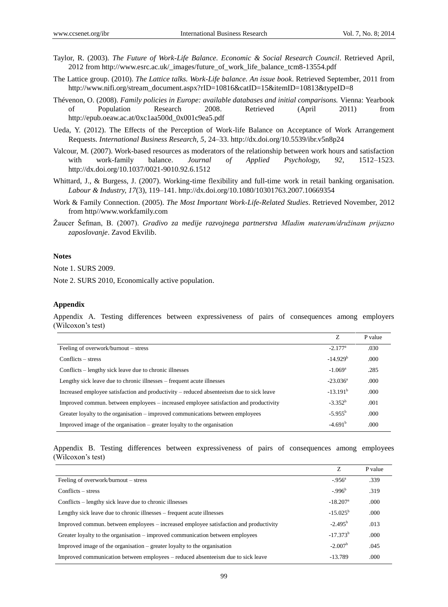- Taylor, R. (2003). *The Future of Work-Life Balance. Economic & Social Research Council*. Retrieved April, 2012 from http://www.esrc.ac.uk/\_images/future\_of\_work\_life\_balance\_tcm8-13554.pdf
- The Lattice group. (2010). *The Lattice talks. Work-Life balance. An issue book*. Retrieved September, 2011 from http://www.nifi.org/stream\_document.aspx?rID=10816&catID=15&itemID=10813&typeID=8
- Thévenon, O. (2008). *Family policies in Europe: available databases and initial comparisons.* Vienna: Yearbook of Population Research 2008. Retrieved (April 2011) from http://epub.oeaw.ac.at/0xc1aa500d\_0x001c9ea5.pdf
- Ueda, Y. (2012). The Effects of the Perception of Work-life Balance on Acceptance of Work Arrangement Requests. *International Business Research, 5*, 24–33. http://dx.doi.org/10.5539/ibr.v5n8p24
- Valcour, M. (2007). Work-based resources as moderators of the relationship between work hours and satisfaction with work-family balance. *Journal of Applied Psychology, 92*, 1512–1523. http://dx.doi.org/10.1037/0021-9010.92.6.1512
- Whittard, J., & Burgess, J. (2007). Working-time flexibility and full-time work in retail banking organisation. *Labour & Industry, 17*(3), 119–141. http://dx.doi.org/10.1080/10301763.2007.10669354
- Work & Family Connection. (2005). *The Most Important Work-Life-Related Studies*. Retrieved November, 2012 from http//www.workfamily.com
- Žaucer Šefman, B. (2007). *Gradivo za medije razvojnega partnerstva Mladim materam/družinam prijazno zaposlovanje*. Zavod Ekvilib.

#### **Notes**

Note 1. SURS 2009.

Note 2. SURS 2010, Economically active population.

### **Appendix**

Appendix A. Testing differences between expressiveness of pairs of consequences among employers (Wilcoxon's test)

|                                                                                          | Z                     | P value |
|------------------------------------------------------------------------------------------|-----------------------|---------|
| Feeling of overwork/burnout – stress                                                     | $-2.177$ <sup>a</sup> | .030    |
| $Conflicts - stress$                                                                     | $-14.929^{\rm b}$     | .000.   |
| Conflicts – lengthy sick leave due to chronic illnesses                                  | $-1.069$ <sup>a</sup> | .285    |
| Lengthy sick leave due to chronic illnesses – frequent acute illnesses                   | $-23.036^a$           | .000    |
| Increased employee satisfaction and productivity – reduced absenteeism due to sick leave | $-13.191^{b}$         | .000    |
| Improved commun. between employees – increased employee satisfaction and productivity    | $-3.352^b$            | .001    |
| Greater loyalty to the organisation – improved communications between employees          | $-5.955^{\rm b}$      | .000.   |
| Improved image of the organisation $-$ greater loyalty to the organisation               | $-4.691b$             | .000    |

Appendix B. Testing differences between expressiveness of pairs of consequences among employees (Wilcoxon's test)

|                                                                                       | Z                      | P value |
|---------------------------------------------------------------------------------------|------------------------|---------|
| Feeling of overwork/burnout – stress                                                  | $-0.956^{\circ}$       | .339    |
| $Conflicts - stress$                                                                  | $-0.996^{\rm b}$       | .319    |
| Conflicts – lengthy sick leave due to chronic illnesses                               | $-18.207$ <sup>a</sup> | .000.   |
| Lengthy sick leave due to chronic illnesses – frequent acute illnesses                | $-15.025^{\rm b}$      | .000.   |
| Improved commun. between employees – increased employee satisfaction and productivity | $-2.495^{\rm b}$       | .013    |
| Greater loyalty to the organisation – improved communication between employees        | $-17.373^{b}$          | .000    |
| Improved image of the organisation $-$ greater loyalty to the organisation            | $-2.007b$              | .045    |
| Improved communication between employees – reduced absenteeism due to sick leave      | $-13.789$              | .000.   |